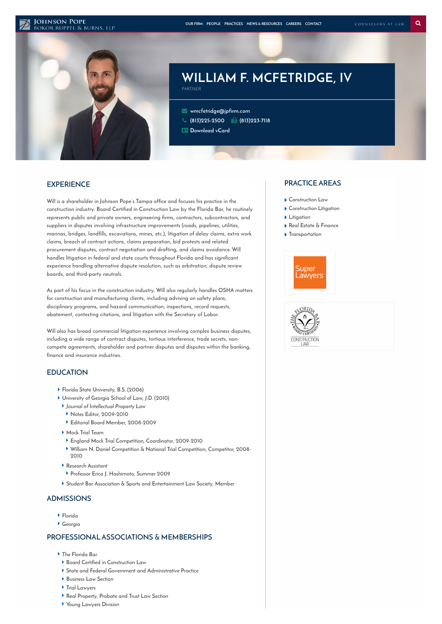#### **JOHNSON POPE**



# **WILLIAM F. MCFETRIDGE, IV**

 **[wmcfetridge@jpfirm.com](mailto:wmcfetridge@jpfirm.com) [\(813\)225-2500](tel:+1-813-225-2500) (813)223-7118 [Download](https://www.jpfirm.com/wp-content/themes/paperstreet/vcard/vcard.php?name=william-f-mcfetridge-iv) vCard**

PARTNER

## **EXPERIENCE**

**Will is a shareholder in Johnson Pope's Tampa office and focuses his practice in the construction industry. Board Certified in Construction Law by the Florida Bar, he routinely represents public and private owners, engineering firms, contractors, subcontractors, and suppliers in disputes involving infrastructure improvements (roads, pipelines, utilities, marinas, bridges, landfills, excavations, mines, etc.), litigation of delay claims, extra work claims, breach of contract actions, claims preparation, bid protests and related procurement disputes, contract negotiation and drafting, and claims avoidance. Will handles litigation in federal and state courts throughout Florida and has significant experience handling alternative dispute resolution, such as arbitration, dispute review boards, and third-party neutrals.**

**As part of his focus in the construction industry, Will also regularly handles OSHA matters for construction and manufacturing clients, including advising on safety plans, disciplinary programs, and hazard communication, inspections, record requests, abatement, contesting citations, and litigation with the Secretary of Labor.**

**Will also has broad commercial litigation experience involving complex business disputes, including a wide range of contract disputes, tortious interference, trade secrets, noncompete agreements, shareholder and partner disputes and disputes within the banking, finance and insurance industries.**

## **EDUCATION**

- **Florida State University, B.S. (2006)**
- **University of Georgia School of Law, J.D. (2010)**
- **Journal of Intellectual Property Law**
- **Notes Editor, 2009-2010**
- **Editorial Board Member, 2008-2009**
- **Mock Trial Team**
- **England Mock Trial Competition, Coordinator, 2009-2010**
- **William N. Daniel Competition & National Trial Competition, Competitor, 2008- 2010**
- **Research Assistant**
- **Professor Erica J. Hashimoto, Summer 2009**
- **Student Bar Association & Sports and Entertainment Law Society, Member**

## **ADMISSIONS**

- **Florida**
- **Georgia**

### **PROFESSIONALASSOCIATIONS & MEMBERSHIPS**

- **The Florida Bar**
- **Board Certified in Construction Law**
- **State and Federal Government and Administrative Practice**
- **Business Law Section**
- **Trial Lawyers**
- **Real Property, Probate and Trust Law Section**
- **Young Lawyers Division**

### **PRACTICE AREAS**

- **[Construction](https://www.jpfirm.com/practices/construction-law/) Law**
- **[Construction](https://www.jpfirm.com/practices/construction-litigation/) Litigation**
- **[Litigation](https://www.jpfirm.com/practices/litigation/)**
- **Real Estate & [Finance](https://www.jpfirm.com/practices/real-estate-finance/)**
- **[Transportation](https://www.jpfirm.com/practices/transportation/)**